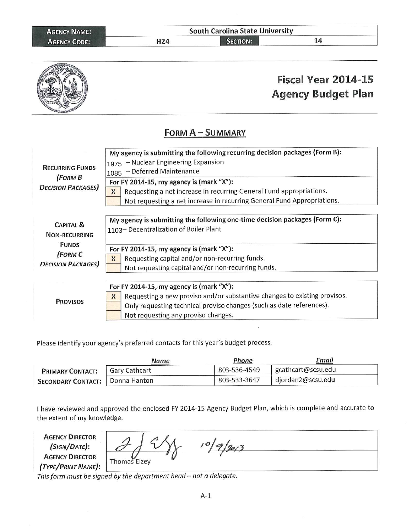| <b>AGENCY NAME:</b> | <b>South Carolina State University</b> |                 |  |
|---------------------|----------------------------------------|-----------------|--|
| <b>AGENCY CODE:</b> | H24                                    | <b>SECTION:</b> |  |
|                     |                                        |                 |  |



Please identify your agency's preferred contacts for this year's budget process.

|                           | Name          | Phone        | Email              |  |
|---------------------------|---------------|--------------|--------------------|--|
| <b>PRIMARY CONTACT:</b>   | Gary Cathcart | 803-536-4549 | gcathcart@scsu.edu |  |
| <b>SECONDARY CONTACT:</b> | Donna Hanton  | 803-533-3647 | djordan2@scsu.edu  |  |

I have reviewed and approved the enclosed FY 2014-15 Agency Budget Plan, which is complete and accurate to the extent of my knowledge.

**AGENCY DIRECTOR** (SIGN/DATE): **AGENCY DIRECTOR** (TYPE/PRINT NAME):

 $10|9|2013$ Thomas Elzey

This form must be signed by the department head - not a delegate.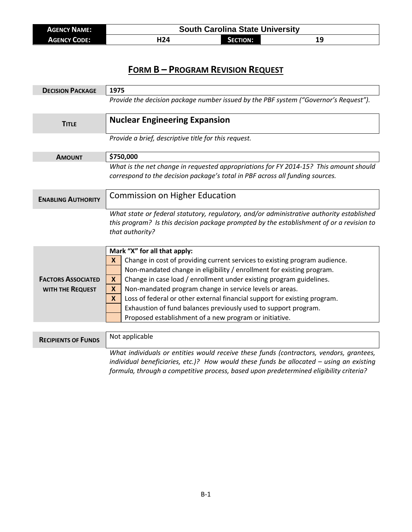| <b>AGENCY NAME:</b> | <b>South Carolina State University</b> |                 |    |
|---------------------|----------------------------------------|-----------------|----|
| <b>AGENCY CODE:</b> | H24                                    | <b>SECTION:</b> | 19 |

## **FORM B – PROGRAM REVISION REQUEST**

| <b>DECISION PACKAGE</b>                              | 1975                                                                                                                                                                                                                                                                                                                                                                                                                                                                                                                                                          |  |  |
|------------------------------------------------------|---------------------------------------------------------------------------------------------------------------------------------------------------------------------------------------------------------------------------------------------------------------------------------------------------------------------------------------------------------------------------------------------------------------------------------------------------------------------------------------------------------------------------------------------------------------|--|--|
|                                                      | Provide the decision package number issued by the PBF system ("Governor's Request").                                                                                                                                                                                                                                                                                                                                                                                                                                                                          |  |  |
| <b>TITLE</b>                                         | <b>Nuclear Engineering Expansion</b>                                                                                                                                                                                                                                                                                                                                                                                                                                                                                                                          |  |  |
|                                                      | Provide a brief, descriptive title for this request.                                                                                                                                                                                                                                                                                                                                                                                                                                                                                                          |  |  |
| <b>AMOUNT</b>                                        | \$750,000                                                                                                                                                                                                                                                                                                                                                                                                                                                                                                                                                     |  |  |
|                                                      | What is the net change in requested appropriations for FY 2014-15? This amount should<br>correspond to the decision package's total in PBF across all funding sources.                                                                                                                                                                                                                                                                                                                                                                                        |  |  |
| <b>ENABLING AUTHORITY</b>                            | <b>Commission on Higher Education</b>                                                                                                                                                                                                                                                                                                                                                                                                                                                                                                                         |  |  |
|                                                      | What state or federal statutory, regulatory, and/or administrative authority established<br>this program? Is this decision package prompted by the establishment of or a revision to<br>that authority?                                                                                                                                                                                                                                                                                                                                                       |  |  |
| <b>FACTORS ASSOCIATED</b><br><b>WITH THE REQUEST</b> | Mark "X" for all that apply:<br>Change in cost of providing current services to existing program audience.<br>X<br>Non-mandated change in eligibility / enrollment for existing program.<br>Change in case load / enrollment under existing program guidelines.<br>X<br>Non-mandated program change in service levels or areas.<br>X<br>Loss of federal or other external financial support for existing program.<br>$\mathbf x$<br>Exhaustion of fund balances previously used to support program.<br>Proposed establishment of a new program or initiative. |  |  |
| <b>RECIPIENTS OF FUNDS</b>                           | Not applicable                                                                                                                                                                                                                                                                                                                                                                                                                                                                                                                                                |  |  |
|                                                      | What individuals or entities would receive these funds (contractors, vendors, grantees,<br>individual beneficiaries, etc.)? How would these funds be allocated $-$ using an existing<br>formula, through a competitive process, based upon predetermined eligibility criteria?                                                                                                                                                                                                                                                                                |  |  |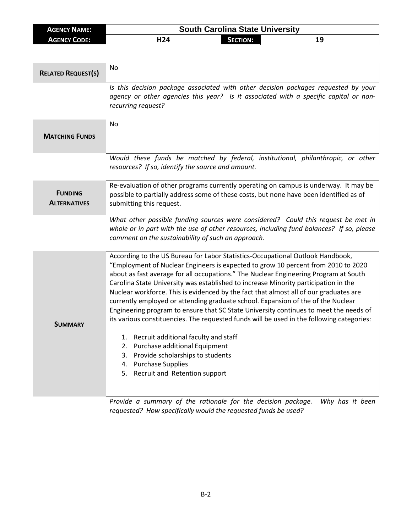| <b>AGENCY NAME:</b> | <b>South Carolina State University</b> |                 |  |  |
|---------------------|----------------------------------------|-----------------|--|--|
| <b>AGENCY CODE:</b> | H <sub>24</sub>                        | <b>SECTION:</b> |  |  |

| <b>RELATED REQUEST(S)</b>             | <b>No</b>                                                                                                                                                                                                                                                                                                                                                                                                                                                                                                                                                                                                                                                                                                                                                                                                                                                                                               |
|---------------------------------------|---------------------------------------------------------------------------------------------------------------------------------------------------------------------------------------------------------------------------------------------------------------------------------------------------------------------------------------------------------------------------------------------------------------------------------------------------------------------------------------------------------------------------------------------------------------------------------------------------------------------------------------------------------------------------------------------------------------------------------------------------------------------------------------------------------------------------------------------------------------------------------------------------------|
|                                       | Is this decision package associated with other decision packages requested by your<br>agency or other agencies this year? Is it associated with a specific capital or non-<br>recurring request?                                                                                                                                                                                                                                                                                                                                                                                                                                                                                                                                                                                                                                                                                                        |
| <b>MATCHING FUNDS</b>                 | No                                                                                                                                                                                                                                                                                                                                                                                                                                                                                                                                                                                                                                                                                                                                                                                                                                                                                                      |
|                                       | Would these funds be matched by federal, institutional, philanthropic, or other<br>resources? If so, identify the source and amount.                                                                                                                                                                                                                                                                                                                                                                                                                                                                                                                                                                                                                                                                                                                                                                    |
| <b>FUNDING</b><br><b>ALTERNATIVES</b> | Re-evaluation of other programs currently operating on campus is underway. It may be<br>possible to partially address some of these costs, but none have been identified as of<br>submitting this request.                                                                                                                                                                                                                                                                                                                                                                                                                                                                                                                                                                                                                                                                                              |
|                                       | What other possible funding sources were considered? Could this request be met in<br>whole or in part with the use of other resources, including fund balances? If so, please<br>comment on the sustainability of such an approach.                                                                                                                                                                                                                                                                                                                                                                                                                                                                                                                                                                                                                                                                     |
| <b>SUMMARY</b>                        | According to the US Bureau for Labor Statistics-Occupational Outlook Handbook,<br>"Employment of Nuclear Engineers is expected to grow 10 percent from 2010 to 2020<br>about as fast average for all occupations." The Nuclear Engineering Program at South<br>Carolina State University was established to increase Minority participation in the<br>Nuclear workforce. This is evidenced by the fact that almost all of our graduates are<br>currently employed or attending graduate school. Expansion of the of the Nuclear<br>Engineering program to ensure that SC State University continues to meet the needs of<br>its various constituencies. The requested funds will be used in the following categories:<br>1. Recruit additional faculty and staff<br>2. Purchase additional Equipment<br>3. Provide scholarships to students<br>4. Purchase Supplies<br>5. Recruit and Retention support |

*Provide a summary of the rationale for the decision package. Why has it been requested? How specifically would the requested funds be used?*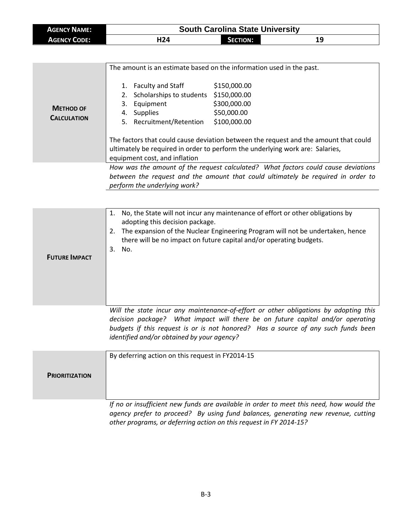| <b>AGENCY NAME:</b> | <b>South Carolina State University</b> |                 |    |  |
|---------------------|----------------------------------------|-----------------|----|--|
| <b>AGENCY CODE:</b> | H24                                    | <b>SECTION:</b> | 19 |  |

| <b>METHOD OF</b><br><b>CALCULATION</b> | Faculty and Staff<br>1.<br>2. Scholarships to students<br>3. Equipment<br>Supplies<br>4.<br>5. Recruitment/Retention                                                                                   | The amount is an estimate based on the information used in the past.<br>\$150,000.00<br>\$150,000.00<br>\$300,000.00<br>\$50,000.00<br>\$100,000.00 |  |  |
|----------------------------------------|--------------------------------------------------------------------------------------------------------------------------------------------------------------------------------------------------------|-----------------------------------------------------------------------------------------------------------------------------------------------------|--|--|
|                                        | The factors that could cause deviation between the request and the amount that could<br>ultimately be required in order to perform the underlying work are: Salaries,<br>equipment cost, and inflation |                                                                                                                                                     |  |  |
|                                        | How was the amount of the request calculated? What factors could cause deviations<br>between the request and the amount that could ultimately be required in order to                                  |                                                                                                                                                     |  |  |

*perform the underlying work?*

**FUTURE IMPACT** 1. No, the State will not incur any maintenance of effort or other obligations by adopting this decision package. 2. The expansion of the Nuclear Engineering Program will not be undertaken, hence there will be no impact on future capital and/or operating budgets. 3. No. *Will the state incur any maintenance-of-effort or other obligations by adopting this decision package? What impact will there be on future capital and/or operating budgets if this request is or is not honored? Has a source of any such funds been identified and/or obtained by your agency?* **PRIORITIZATION** By deferring action on this request in FY2014-15 *If no or insufficient new funds are available in order to meet this need, how would the* 

*agency prefer to proceed? By using fund balances, generating new revenue, cutting other programs, or deferring action on this request in FY 2014-15?*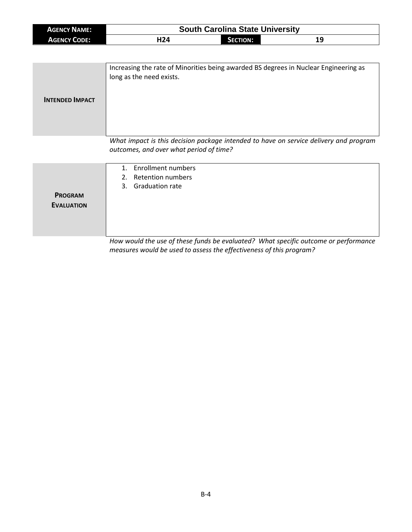| <b>AGENCY NAME:</b> | <b>South Carolina State University</b> |            |    |
|---------------------|----------------------------------------|------------|----|
| <b>AGENCY CODE:</b> | H24                                    | Section: 1 | 19 |

| <b>INTENDED IMPACT</b> | Increasing the rate of Minorities being awarded BS degrees in Nuclear Engineering as<br>long as the need exists. |
|------------------------|------------------------------------------------------------------------------------------------------------------|
|                        | What impact is this decision package intended to have on service delivery and program                            |

*What impact is this decision package intended to have on service delivery and program outcomes, and over what period of time?*

|                   | 1. Enrollment numbers                                                               |
|-------------------|-------------------------------------------------------------------------------------|
|                   | 2. Retention numbers                                                                |
|                   | 3. Graduation rate                                                                  |
| <b>PROGRAM</b>    |                                                                                     |
| <b>EVALUATION</b> |                                                                                     |
|                   |                                                                                     |
|                   |                                                                                     |
|                   |                                                                                     |
|                   | How would the use of these funds be evaluated? What specific outcome or performance |

*measures would be used to assess the effectiveness of this program?*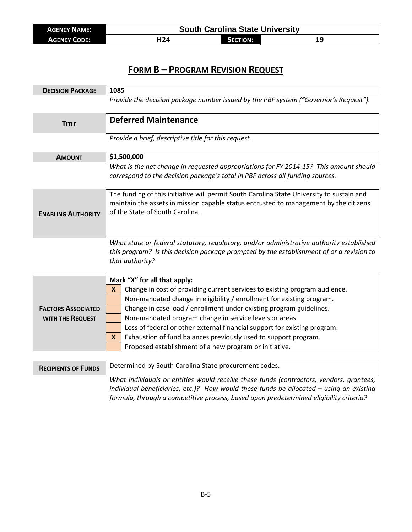| <b>AGENCY NAME:</b> | <b>South Carolina State University</b> |                 |    |
|---------------------|----------------------------------------|-----------------|----|
| <b>AGENCY CODE:</b> | H24                                    | <b>SECTION:</b> | 19 |

## **FORM B – PROGRAM REVISION REQUEST**

| <b>DECISION PACKAGE</b>    | 1085                                                                                                                                                                                 |  |  |
|----------------------------|--------------------------------------------------------------------------------------------------------------------------------------------------------------------------------------|--|--|
|                            | Provide the decision package number issued by the PBF system ("Governor's Request").                                                                                                 |  |  |
|                            | <b>Deferred Maintenance</b>                                                                                                                                                          |  |  |
| <b>TITLE</b>               |                                                                                                                                                                                      |  |  |
|                            | Provide a brief, descriptive title for this request.                                                                                                                                 |  |  |
| <b>AMOUNT</b>              | \$1,500,000                                                                                                                                                                          |  |  |
|                            | What is the net change in requested appropriations for FY 2014-15? This amount should                                                                                                |  |  |
|                            | correspond to the decision package's total in PBF across all funding sources.                                                                                                        |  |  |
|                            | The funding of this initiative will permit South Carolina State University to sustain and                                                                                            |  |  |
|                            | maintain the assets in mission capable status entrusted to management by the citizens                                                                                                |  |  |
| <b>ENABLING AUTHORITY</b>  | of the State of South Carolina.                                                                                                                                                      |  |  |
|                            |                                                                                                                                                                                      |  |  |
|                            |                                                                                                                                                                                      |  |  |
|                            | What state or federal statutory, regulatory, and/or administrative authority established<br>this program? Is this decision package prompted by the establishment of or a revision to |  |  |
|                            | that authority?                                                                                                                                                                      |  |  |
|                            |                                                                                                                                                                                      |  |  |
|                            | Mark "X" for all that apply:                                                                                                                                                         |  |  |
|                            | Change in cost of providing current services to existing program audience.<br>X                                                                                                      |  |  |
|                            | Non-mandated change in eligibility / enrollment for existing program.                                                                                                                |  |  |
| <b>FACTORS ASSOCIATED</b>  | Change in case load / enrollment under existing program guidelines.                                                                                                                  |  |  |
| WITH THE REQUEST           | Non-mandated program change in service levels or areas.                                                                                                                              |  |  |
|                            | Loss of federal or other external financial support for existing program.                                                                                                            |  |  |
|                            | Exhaustion of fund balances previously used to support program.<br>X                                                                                                                 |  |  |
|                            | Proposed establishment of a new program or initiative.                                                                                                                               |  |  |
|                            |                                                                                                                                                                                      |  |  |
| <b>RECIPIENTS OF FUNDS</b> | Determined by South Carolina State procurement codes.                                                                                                                                |  |  |
|                            | What individuals or entities would receive these funds (contractors, vendors, grantees,                                                                                              |  |  |
|                            | individual beneficiaries, etc.)? How would these funds be allocated $-$ using an existing                                                                                            |  |  |
|                            | formula, through a competitive process, based upon predetermined eligibility criteria?                                                                                               |  |  |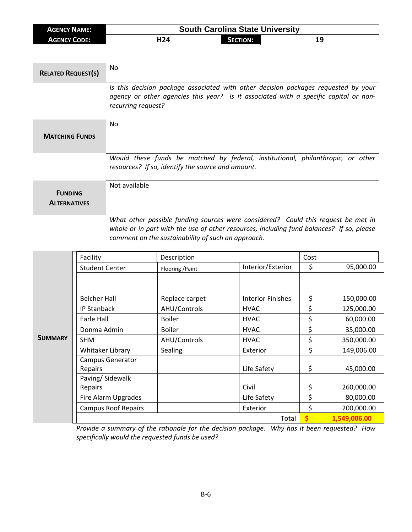| <b>AGENCY NAME:</b> | <b>South Carolina State University</b> |                 |  |  |
|---------------------|----------------------------------------|-----------------|--|--|
| <b>AGENCY CODE:</b> | H <sub>24</sub>                        | <b>SECTION:</b> |  |  |

| <b>RELATED REQUEST(S)</b> | No.                                                                                                                                                                                              |
|---------------------------|--------------------------------------------------------------------------------------------------------------------------------------------------------------------------------------------------|
|                           | Is this decision package associated with other decision packages requested by your<br>agency or other agencies this year? Is it associated with a specific capital or non-<br>recurring request? |
| <b>MATCHING FUNDS</b>     | No                                                                                                                                                                                               |
|                           | Would these funds be matched by federal, institutional, philanthropic, or other<br>resources? If so, identify the source and amount.                                                             |
|                           | وملطوا المربوط والملا                                                                                                                                                                            |

| <b>FUNDING</b><br><b>ALTERNATIVES</b> | Not available                                                                     |  |
|---------------------------------------|-----------------------------------------------------------------------------------|--|
|                                       |                                                                                   |  |
|                                       | What other nossible funding sources were considered? Could this request he met in |  |

*What other possible funding sources were considered? Could this request be met in whole or in part with the use of other resources, including fund balances? If so, please comment on the sustainability of such an approach.*

|                | Facility                   | Description      |                          | Cost |              |
|----------------|----------------------------|------------------|--------------------------|------|--------------|
|                | <b>Student Center</b>      | Flooring / Paint | Interior/Exterior        | \$   | 95,000.00    |
|                |                            |                  |                          |      |              |
|                | <b>Belcher Hall</b>        | Replace carpet   | <b>Interior Finishes</b> | \$   | 150,000.00   |
|                | <b>IP Stanback</b>         | AHU/Controls     | <b>HVAC</b>              | \$   | 125,000.00   |
|                | Earle Hall                 | <b>Boiler</b>    | <b>HVAC</b>              | \$   | 60,000.00    |
|                | Donma Admin                | <b>Boiler</b>    | <b>HVAC</b>              | \$   | 35,000.00    |
| <b>SUMMARY</b> | <b>SHM</b>                 | AHU/Controls     | <b>HVAC</b>              | \$   | 350,000.00   |
|                | Whitaker Library           | Sealing          | Exterior                 | \$   | 149,006.00   |
|                | <b>Campus Generator</b>    |                  |                          |      |              |
|                | Repairs                    |                  | Life Safety              | \$   | 45,000.00    |
|                | Paving/Sidewalk            |                  |                          |      |              |
|                | Repairs                    |                  | Civil                    | \$   | 260,000.00   |
|                | Fire Alarm Upgrades        |                  | Life Safety              | \$   | 80,000.00    |
|                | <b>Campus Roof Repairs</b> |                  | Exterior                 | \$   | 200,000.00   |
|                |                            |                  | Total                    | \$   | 1,549,006.00 |

*Provide a summary of the rationale for the decision package. Why has it been requested? How specifically would the requested funds be used?*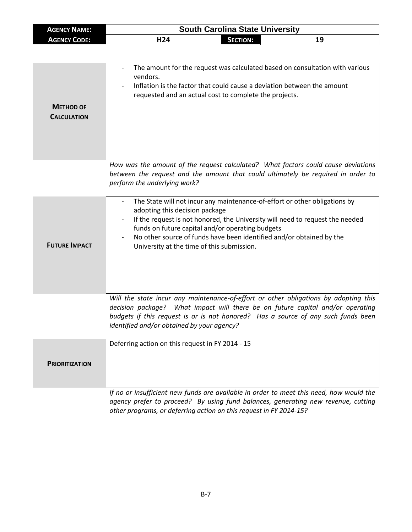| <b>AGENCY NAME:</b> | <b>South Carolina State University</b> |          |    |  |
|---------------------|----------------------------------------|----------|----|--|
| AGENCY CODE:        | H24                                    | SECTION: | 19 |  |

|                    | The amount for the request was calculated based on consultation with various<br>vendors.<br>Inflation is the factor that could cause a deviation between the amount<br>$\overline{\phantom{0}}$<br>requested and an actual cost to complete the projects. |
|--------------------|-----------------------------------------------------------------------------------------------------------------------------------------------------------------------------------------------------------------------------------------------------------|
| <b>METHOD OF</b>   |                                                                                                                                                                                                                                                           |
| <b>CALCULATION</b> |                                                                                                                                                                                                                                                           |
|                    |                                                                                                                                                                                                                                                           |
|                    | How was the amount of the request calculated? What factors could cause deviations<br>between the request and the amount that could ultimately be required in order to                                                                                     |
|                    | perform the underlying work?                                                                                                                                                                                                                              |
|                    | The State will not incur any maintenance-of-effort or other obligations by                                                                                                                                                                                |

| <b>FUTURE IMPACT</b> | adopting this decision package<br>If the request is not honored, the University will need to request the needed<br>$\overline{\phantom{a}}$<br>funds on future capital and/or operating budgets<br>No other source of funds have been identified and/or obtained by the<br>$\overline{\phantom{0}}$<br>University at the time of this submission. |
|----------------------|---------------------------------------------------------------------------------------------------------------------------------------------------------------------------------------------------------------------------------------------------------------------------------------------------------------------------------------------------|
|                      |                                                                                                                                                                                                                                                                                                                                                   |

*Will the state incur any maintenance-of-effort or other obligations by adopting this decision package? What impact will there be on future capital and/or operating budgets if this request is or is not honored? Has a source of any such funds been identified and/or obtained by your agency?*

|                       | Deferring action on this request in FY 2014 - 15                                        |
|-----------------------|-----------------------------------------------------------------------------------------|
| <b>PRIORITIZATION</b> |                                                                                         |
|                       | If no or insufficient new funds are available in order to meet this need, how would the |

*If no or insufficient new funds are available in order to meet this need, how would the agency prefer to proceed? By using fund balances, generating new revenue, cutting other programs, or deferring action on this request in FY 2014-15?*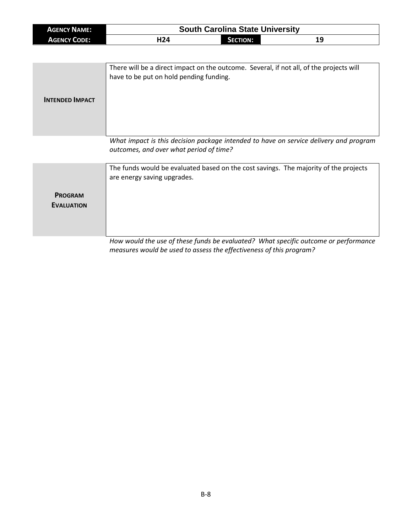| <b>AGENCY NAME:</b> | <b>South Carolina State University</b> |            |    |
|---------------------|----------------------------------------|------------|----|
| <b>AGENCY CODE:</b> | H24                                    | Section: I | 19 |

| <b>INTENDED IMPACT</b> | There will be a direct impact on the outcome. Several, if not all, of the projects will<br>have to be put on hold pending funding. |
|------------------------|------------------------------------------------------------------------------------------------------------------------------------|
|                        | What impact is this decision package intended to have on service delivery and program<br>outcomes, and over what period of time?   |

**PROGRAM EVALUATION** The funds would be evaluated based on the cost savings. The majority of the projects are energy saving upgrades.

*How would the use of these funds be evaluated? What specific outcome or performance measures would be used to assess the effectiveness of this program?*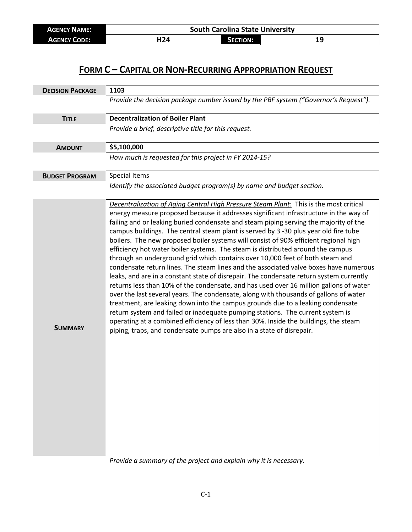| <b>AGENCY NAME:</b> | <b>South Carolina State University</b> |          |  |
|---------------------|----------------------------------------|----------|--|
| <b>AGENCY CODE:</b> | H24                                    | Section: |  |

## **FORM C – CAPITAL OR NON-RECURRING APPROPRIATION REQUEST**

| <b>DECISION PACKAGE</b> | 1103                                                                                                                                                                                                                                                                                                                                                                                                                                                                                                                                                                                                                                                                                                                                                                                                                                                                                                                                                                                                                                                                                                                                                                                                                                                                                                                                      |  |  |  |
|-------------------------|-------------------------------------------------------------------------------------------------------------------------------------------------------------------------------------------------------------------------------------------------------------------------------------------------------------------------------------------------------------------------------------------------------------------------------------------------------------------------------------------------------------------------------------------------------------------------------------------------------------------------------------------------------------------------------------------------------------------------------------------------------------------------------------------------------------------------------------------------------------------------------------------------------------------------------------------------------------------------------------------------------------------------------------------------------------------------------------------------------------------------------------------------------------------------------------------------------------------------------------------------------------------------------------------------------------------------------------------|--|--|--|
|                         | Provide the decision package number issued by the PBF system ("Governor's Request").                                                                                                                                                                                                                                                                                                                                                                                                                                                                                                                                                                                                                                                                                                                                                                                                                                                                                                                                                                                                                                                                                                                                                                                                                                                      |  |  |  |
| <b>TITLE</b>            | <b>Decentralization of Boiler Plant</b>                                                                                                                                                                                                                                                                                                                                                                                                                                                                                                                                                                                                                                                                                                                                                                                                                                                                                                                                                                                                                                                                                                                                                                                                                                                                                                   |  |  |  |
|                         | Provide a brief, descriptive title for this request.                                                                                                                                                                                                                                                                                                                                                                                                                                                                                                                                                                                                                                                                                                                                                                                                                                                                                                                                                                                                                                                                                                                                                                                                                                                                                      |  |  |  |
| <b>AMOUNT</b>           | \$5,100,000                                                                                                                                                                                                                                                                                                                                                                                                                                                                                                                                                                                                                                                                                                                                                                                                                                                                                                                                                                                                                                                                                                                                                                                                                                                                                                                               |  |  |  |
|                         | How much is requested for this project in FY 2014-15?                                                                                                                                                                                                                                                                                                                                                                                                                                                                                                                                                                                                                                                                                                                                                                                                                                                                                                                                                                                                                                                                                                                                                                                                                                                                                     |  |  |  |
| <b>BUDGET PROGRAM</b>   | <b>Special Items</b>                                                                                                                                                                                                                                                                                                                                                                                                                                                                                                                                                                                                                                                                                                                                                                                                                                                                                                                                                                                                                                                                                                                                                                                                                                                                                                                      |  |  |  |
|                         | Identify the associated budget program(s) by name and budget section.                                                                                                                                                                                                                                                                                                                                                                                                                                                                                                                                                                                                                                                                                                                                                                                                                                                                                                                                                                                                                                                                                                                                                                                                                                                                     |  |  |  |
| <b>SUMMARY</b>          | Decentralization of Aging Central High Pressure Steam Plant: This is the most critical<br>energy measure proposed because it addresses significant infrastructure in the way of<br>failing and or leaking buried condensate and steam piping serving the majority of the<br>campus buildings. The central steam plant is served by 3 -30 plus year old fire tube<br>boilers. The new proposed boiler systems will consist of 90% efficient regional high<br>efficiency hot water boiler systems. The steam is distributed around the campus<br>through an underground grid which contains over 10,000 feet of both steam and<br>condensate return lines. The steam lines and the associated valve boxes have numerous<br>leaks, and are in a constant state of disrepair. The condensate return system currently<br>returns less than 10% of the condensate, and has used over 16 million gallons of water<br>over the last several years. The condensate, along with thousands of gallons of water<br>treatment, are leaking down into the campus grounds due to a leaking condensate<br>return system and failed or inadequate pumping stations. The current system is<br>operating at a combined efficiency of less than 30%. Inside the buildings, the steam<br>piping, traps, and condensate pumps are also in a state of disrepair. |  |  |  |

*Provide a summary of the project and explain why it is necessary.*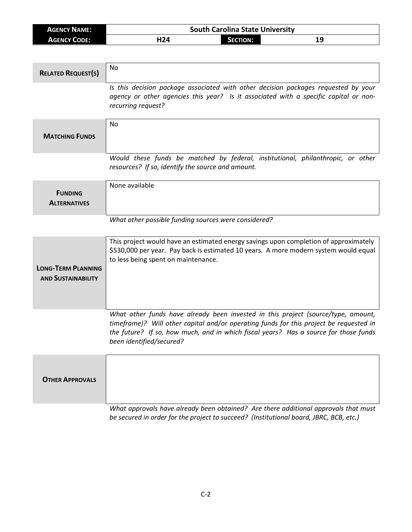| <b>AGENCY NAME:</b> | <b>South Carolina State University</b> |                 |    |
|---------------------|----------------------------------------|-----------------|----|
| <b>AGENCY CODE:</b> | H24                                    | <b>SECTION:</b> | 19 |

| <b>RELATED REQUEST(S)</b>                              | No                                                                                                                                                                                                                                                                                              |
|--------------------------------------------------------|-------------------------------------------------------------------------------------------------------------------------------------------------------------------------------------------------------------------------------------------------------------------------------------------------|
|                                                        | Is this decision package associated with other decision packages requested by your<br>agency or other agencies this year? Is it associated with a specific capital or non-<br>recurring request?                                                                                                |
| <b>MATCHING FUNDS</b>                                  | No                                                                                                                                                                                                                                                                                              |
|                                                        | Would these funds be matched by federal, institutional, philanthropic, or other<br>resources? If so, identify the source and amount.                                                                                                                                                            |
| <b>FUNDING</b><br><b>ALTERNATIVES</b>                  | None available                                                                                                                                                                                                                                                                                  |
|                                                        | What other possible funding sources were considered?                                                                                                                                                                                                                                            |
| <b>LONG-TERM PLANNING</b><br><b>AND SUSTAINABILITY</b> | This project would have an estimated energy savings upon completion of approximately<br>\$530,000 per year. Pay back is estimated 10 years. A more modern system would equal<br>to less being spent on maintenance.                                                                             |
|                                                        | What other funds have already been invested in this project (source/type, amount,<br>timeframe)? Will other capital and/or operating funds for this project be requested in<br>the future? If so, how much, and in which fiscal years? Has a source for those funds<br>been identified/secured? |
| <b>OTHER APPROVALS</b>                                 |                                                                                                                                                                                                                                                                                                 |
|                                                        | What approvals have already been obtained? Are there additional approvals that must<br>be secured in order for the project to succeed? (Institutional board, JBRC, BCB, etc.)                                                                                                                   |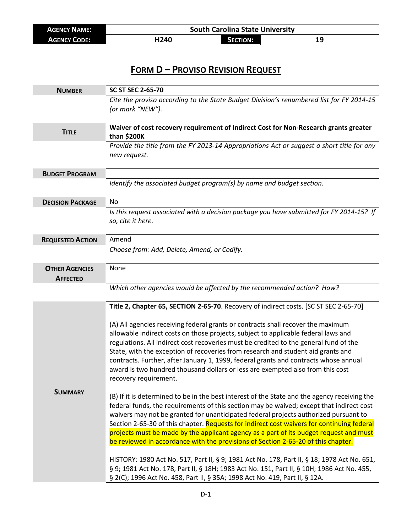| <b>AGENCY NAME:</b> | <b>South Carolina State University</b> |          |    |  |
|---------------------|----------------------------------------|----------|----|--|
| <b>AGENCY CODE:</b> | H240                                   | SECTION: | 19 |  |

## **FORM D – PROVISO REVISION REQUEST**

| <b>NUMBER</b>                            | <b>SC ST SEC 2-65-70</b>                                                                                                                                                                                                                                                                                                                                                                                                                                                                                                                                                                                                                                                                                                                                                                                                                                                                                                                                                                                                                                                                                                                                                                                         |  |  |  |
|------------------------------------------|------------------------------------------------------------------------------------------------------------------------------------------------------------------------------------------------------------------------------------------------------------------------------------------------------------------------------------------------------------------------------------------------------------------------------------------------------------------------------------------------------------------------------------------------------------------------------------------------------------------------------------------------------------------------------------------------------------------------------------------------------------------------------------------------------------------------------------------------------------------------------------------------------------------------------------------------------------------------------------------------------------------------------------------------------------------------------------------------------------------------------------------------------------------------------------------------------------------|--|--|--|
|                                          | Cite the proviso according to the State Budget Division's renumbered list for FY 2014-15<br>(or mark "NEW").                                                                                                                                                                                                                                                                                                                                                                                                                                                                                                                                                                                                                                                                                                                                                                                                                                                                                                                                                                                                                                                                                                     |  |  |  |
| <b>TITLE</b>                             | Waiver of cost recovery requirement of Indirect Cost for Non-Research grants greater<br>than \$200K                                                                                                                                                                                                                                                                                                                                                                                                                                                                                                                                                                                                                                                                                                                                                                                                                                                                                                                                                                                                                                                                                                              |  |  |  |
|                                          | Provide the title from the FY 2013-14 Appropriations Act or suggest a short title for any<br>new request.                                                                                                                                                                                                                                                                                                                                                                                                                                                                                                                                                                                                                                                                                                                                                                                                                                                                                                                                                                                                                                                                                                        |  |  |  |
| <b>BUDGET PROGRAM</b>                    |                                                                                                                                                                                                                                                                                                                                                                                                                                                                                                                                                                                                                                                                                                                                                                                                                                                                                                                                                                                                                                                                                                                                                                                                                  |  |  |  |
|                                          | Identify the associated budget program(s) by name and budget section.                                                                                                                                                                                                                                                                                                                                                                                                                                                                                                                                                                                                                                                                                                                                                                                                                                                                                                                                                                                                                                                                                                                                            |  |  |  |
| <b>DECISION PACKAGE</b>                  | No                                                                                                                                                                                                                                                                                                                                                                                                                                                                                                                                                                                                                                                                                                                                                                                                                                                                                                                                                                                                                                                                                                                                                                                                               |  |  |  |
|                                          | Is this request associated with a decision package you have submitted for FY 2014-15? If<br>so, cite it here.                                                                                                                                                                                                                                                                                                                                                                                                                                                                                                                                                                                                                                                                                                                                                                                                                                                                                                                                                                                                                                                                                                    |  |  |  |
| <b>REQUESTED ACTION</b>                  | Amend                                                                                                                                                                                                                                                                                                                                                                                                                                                                                                                                                                                                                                                                                                                                                                                                                                                                                                                                                                                                                                                                                                                                                                                                            |  |  |  |
|                                          | Choose from: Add, Delete, Amend, or Codify.                                                                                                                                                                                                                                                                                                                                                                                                                                                                                                                                                                                                                                                                                                                                                                                                                                                                                                                                                                                                                                                                                                                                                                      |  |  |  |
| <b>OTHER AGENCIES</b><br><b>AFFECTED</b> | None                                                                                                                                                                                                                                                                                                                                                                                                                                                                                                                                                                                                                                                                                                                                                                                                                                                                                                                                                                                                                                                                                                                                                                                                             |  |  |  |
|                                          | Which other agencies would be affected by the recommended action? How?                                                                                                                                                                                                                                                                                                                                                                                                                                                                                                                                                                                                                                                                                                                                                                                                                                                                                                                                                                                                                                                                                                                                           |  |  |  |
| <b>SUMMARY</b>                           | Title 2, Chapter 65, SECTION 2-65-70. Recovery of indirect costs. [SC ST SEC 2-65-70]<br>(A) All agencies receiving federal grants or contracts shall recover the maximum<br>allowable indirect costs on those projects, subject to applicable federal laws and<br>regulations. All indirect cost recoveries must be credited to the general fund of the<br>State, with the exception of recoveries from research and student aid grants and<br>contracts. Further, after January 1, 1999, federal grants and contracts whose annual<br>award is two hundred thousand dollars or less are exempted also from this cost<br>recovery requirement.<br>(B) If it is determined to be in the best interest of the State and the agency receiving the<br>federal funds, the requirements of this section may be waived; except that indirect cost<br>waivers may not be granted for unanticipated federal projects authorized pursuant to<br>Section 2-65-30 of this chapter. Requests for indirect cost waivers for continuing federal<br>projects must be made by the applicant agency as a part of its budget request and must<br>be reviewed in accordance with the provisions of Section 2-65-20 of this chapter. |  |  |  |
|                                          | HISTORY: 1980 Act No. 517, Part II, § 9; 1981 Act No. 178, Part II, § 18; 1978 Act No. 651,<br>§ 9; 1981 Act No. 178, Part II, § 18H; 1983 Act No. 151, Part II, § 10H; 1986 Act No. 455,<br>§ 2(C); 1996 Act No. 458, Part II, § 35A; 1998 Act No. 419, Part II, § 12A.                                                                                                                                                                                                                                                                                                                                                                                                                                                                                                                                                                                                                                                                                                                                                                                                                                                                                                                                         |  |  |  |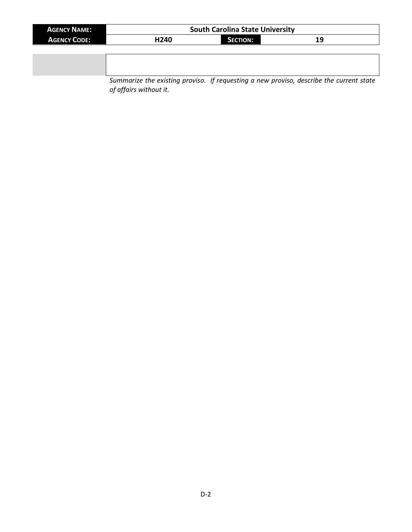| <b>AGENCY NAME:</b> |      | <b>South Carolina State University</b> |    |  |
|---------------------|------|----------------------------------------|----|--|
| <b>AGENCY CODE:</b> | H240 | <b>SECTION:</b>                        | 19 |  |
|                     |      |                                        |    |  |
|                     |      |                                        |    |  |

*Summarize the existing proviso. If requesting a new proviso, describe the current state of affairs without it.*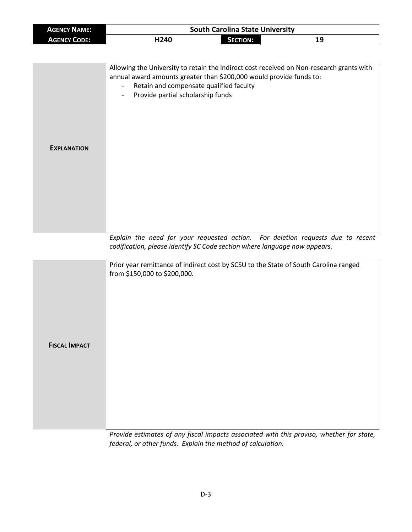| <b>AGENCY NAME:</b> | <b>South Carolina State University</b> |          |    |  |
|---------------------|----------------------------------------|----------|----|--|
| <b>AGENCY CODE:</b> | H240                                   | Section: | 19 |  |

| <b>EXPLANATION</b>   | Allowing the University to retain the indirect cost received on Non-research grants with<br>annual award amounts greater than \$200,000 would provide funds to:<br>Retain and compensate qualified faculty<br>Provide partial scholarship funds |
|----------------------|-------------------------------------------------------------------------------------------------------------------------------------------------------------------------------------------------------------------------------------------------|
|                      |                                                                                                                                                                                                                                                 |
|                      | Explain the need for your requested action. For deletion requests due to recent<br>codification, please identify SC Code section where language now appears.                                                                                    |
| <b>FISCAL IMPACT</b> | Prior year remittance of indirect cost by SCSU to the State of South Carolina ranged<br>from \$150,000 to \$200,000.                                                                                                                            |

*Provide estimates of any fiscal impacts associated with this proviso, whether for state, federal, or other funds. Explain the method of calculation.*